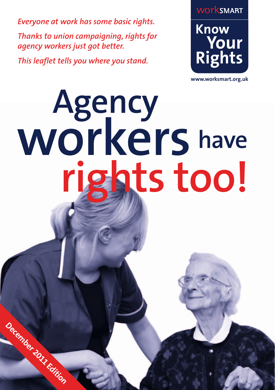*Everyone at work has some basic rights. Thanks to union campaigning, rights for agency workers just got better.*

*This leaflet tells you where you stand.*

**December 2011 Edition**



**www.worksmart.org.uk**

## **Agency rights too! workers have**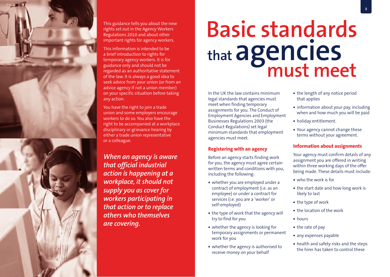

This guidance tells you about the new rights set out in the Agency Workers Regulations 2010 and about other important rights for agency workers.

This information is intended to be a brief introduction to rights for temporary agency workers. It is for guidance only and should not be regarded as an authoritative statement of the law. It is always a good idea to seek advice from your union (or from an advice agency if not a union member) on your specific situation before taking any action.

You have the right to join a trade union and some employers encourage workers to do so. You also have the right to be accompanied at a workplace disciplinary or grievance hearing by either a trade union representative or a colleague.

*When an agency is aware that official industrial action is happening at a workplace, it should not supply you as cover for workers participating in that action or to replace others who themselves are covering.*

## **Basic standards that agencies must meet**

In the UK the law contains minimum legal standards that agencies must meet when finding temporary assignments for you. The Conduct of Employment Agencies and Employment Businesses Regulations 2003 (the Conduct Regulations) set legal minimum standards that employment agencies must meet.

#### **Registering with an agency**

Before an agency starts finding work for you, the agency must agree certain written terms and conditions with you, including the following:

- whether you are employed under a contract of employment (i.e. as an employee) or under a contract for services (i.e. you are a 'worker' or self-employed)
- the type of work that the agency will try to find for you
- whether the agency is looking for temporary assignments or permanent work for you
- whether the agency is authorised to receive money on your behalf
- the length of any notice period that applies
- **information about your pay, including** when and how much you will be paid
- holiday entitlement.
- Your agency cannot change these terms without your agreement.

#### **Information about assignments**

Your agency must confirm details of any assignment you are offered in writing within three working days of the offer being made. These details must include:

- who the work is for
- the start date and how long work is likely to last
- the type of work
- the location of the work
- **hours**
- $\bullet$  the rate of pay
- any expenses payable
- health and safety risks and the steps the hirer has taken to control these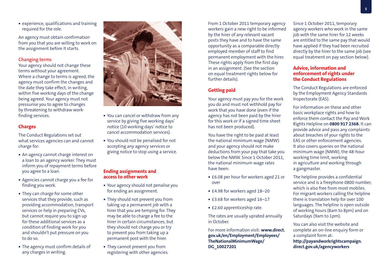experience, qualifications and training required for the role.

An agency must obtain confirmation from you that you are willing to work on the assignment before it starts.

#### **Changing terms**

Your agency should not change these terms without your agreement. Where a change to terms is agreed, the agency must confirm the changes and the date they take effect, in writing, within five working days of the change being agreed. Your agency must not pressurise you to agree to changes by threatening to withdraw workfinding services.

#### **Charges**

The Conduct Regulations set out what services agencies can and cannot charge for:

- An agency cannot charge interest on a loan to an agency worker. They must inform you of repayment terms before you agree to a loan.
- Agencies cannot charge you a fee for finding you work.
- They can charge for some other services that they provide, such as providing accommodation, transport services or help in preparing CVs, but cannot require you to sign up for these additional services as a condition of finding work for you and shouldn't put pressure on you to do so.
- The agency must confirm details of any charges in writing.



- You can cancel or withdraw from any service by giving five working days' notice (10 working days' notice to cancel accommodation services).
- You should not be penalised for not accepting any agency services or giving notice to stop using a service.

#### **Ending assignments and access to other work**

- Your agency should not penalise you for ending an assignment.
- They should not prevent you from taking up a permanent job with a hirer that you are temping for. They may be able to charge a fee to the hirer in certain circumstances, but they should not charge you or try to prevent you from taking up a permanent post with the hirer.
- They cannot prevent you from registering with other agencies.

From 1 October 2011 temporary agency workers gain a new right to be informed by the hirer of any relevant vacant posts they have and to have the same opportunity as a comparable directly employed member of staff to find permanent employment with the hirer. These rights apply from the first day in an assignment. (See the section on equal treatment rights below for further details).

#### **Getting paid**

Your agency must pay you for the work you do and must not withhold pay for work that you have done (even if the agency has not been paid by the hirer for this work or if a signed time sheet has not been produced).

You have the right to be paid at least the national minimum wage (NMW) and your agency should not make deductions from your pay that take you below the NMW. Since 1 October 2011, the national minimum wage rates have been:

- £6.08 per hour for workers aged 21 or over
- £4.98 for workers aged 18-20
- £3.68 for workers aged 16-17
- £2.60 apprenticeship rate.

The rates are usually uprated annually in October.

For more information visit: **www.direct. gov.uk/en/Employment/Employees/ TheNationalMinimumWage/ DG\_10027201**

Since 1 October 2011, temporary agency workers who work in the same job with the same hirer for 12 weeks are entitled to the same pay that would have applied if they had been recruited directly by the hirer to the same job (see equal treatment on pay section below).

#### **Advice, information and enforcement of rights under the Conduct Regulations**

The Conduct Regulations are enforced by the Employment Agency Standards Inspectorate (EAS).

For information on these and other basic workplace rights and how to enforce them contact the Pay and Work Rights Helpline on **0800 917 2368.** It can provide advice and pass any complaints about breaches of your rights to the EAS or other enforcement agencies. It also covers queries on the national minimum wage (NMW), the 48-hour working time limit, working in agriculture and working through a gangmaster.

The helpline provides a confidential service and is a freephone 0800 number, which is also free from most mobiles. For migrant workers calling the helpline there is translation help for over 100 languages. The helpline is open outside of working hours (8am to 8pm) and on Saturdays (9am to 1pm).

You can also visit the website and complete an on-line enquiry form or a complaint form at: **http://payandworkrightscampaign. direct.gov.uk/agencyworkers**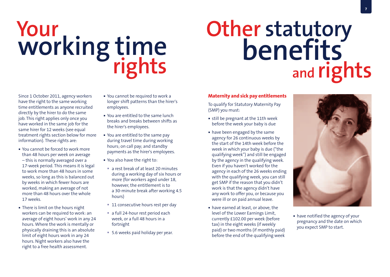# **Your working time rights**

## **Other statutory benefits and rights**

Since 1 October 2011, agency workers have the right to the same working time entitlements as anyone recruited directly by the hirer to do the same job. This right applies only once you have worked in the same job for the same hirer for 12 weeks (see equal treatment rights section below for more information). These rights are:

- You cannot be forced to work more than 48 hours per week on average – this is normally averaged over a 17-week period. This means it is legal to work more than 48 hours in some weeks, so long as this is balanced out by weeks in which fewer hours are worked, making an average of not more than 48 hours over the whole 17 weeks.
- There is limit on the hours night workers can be required to work: an average of eight hours' work in any 24 hours. Where the work is mentally or physically draining this is an absolute limit of eight hours work in any 24 hours. Night workers also have the right to a free health assessment.
- You cannot be required to work a longer shift patterns than the hirer's employees.
- You are entitled to the same lunch breaks and breaks between shifts as the hirer's employees.
- You are entitled to the same pay during travel time during working hours; on call pay; and standby payments as the hirer's employees.
- You also have the right to:
- a rest break of at least 20 minutes during a working day of six hours or more (for workers aged under 18, however, the entitlement is to a 30-minute break after working 4.5 hours)
- 11 consecutive hours rest per day
- a full 24-hour rest period each week, or a full 48 hours in a fortnight
- 5.6 weeks paid holiday per year.

#### **Maternity and sick pay entitlements**

To qualify for Statutory Maternity Pay (SMP) you must:

- still be pregnant at the 11th week before the week your baby is due
- have been engaged by the same agency for 26 continuous weeks by the start of the 14th week before the week in which your baby is due ("the qualifying week") and still be engaged by the agency in the qualifying week. Even if you haven't worked for the agency in each of the 26 weeks ending with the qualifying week, you can still get SMP if the reason that you didn't work is that the agency didn't have any work to offer you, or because you were ill or on paid annual leave.
- have earned at least, or above, the level of the Lower Earnings Limit, currently £102.00 per week (before tax) in the eight weeks (if weekly paid) or two months (if monthly paid) before the end of the qualifying week



 have notified the agency of your pregnancy and the date on which you expect SMP to start.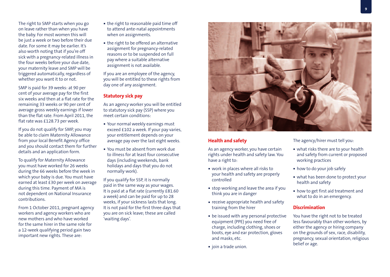The right to SMP starts when you go on leave rather than when you have the baby. For most women this will be just a week or two before their due date. For some it may be earlier. It's also worth noting that if you're off sick with a pregnancy-related illness in the four weeks before your due date, your maternity leave and SMP will be triggered automatically, regardless of whether you want it to or not.

SMP is paid for 39 weeks: at 90 per cent of your average pay for the first six weeks and then at a flat rate for the remaining 33 weeks or 90 per cent of average gross weekly earnings if lower than the flat rate. From April 2011, the flat rate was £128.73 per week.

If you do not qualify for SMP, you may be able to claim Maternity Allowance from your local Benefit Agency office and you should contact them for further details and an application form.

To qualify for Maternity Allowance you must have worked for 26 weeks during the 66 weeks before the week in which your baby is due. You must have earned at least £30 per week on average during this time. Payment of MA is not dependent on National Insurance contributions.

From 1 October 2011, pregnant agency workers and agency workers who are new mothers and who have worked for the same hirer in the same role for a 12-week qualifying period gain two important new rights. These are:

- the right to reasonable paid time off to attend ante-natal appointments when on assignments.
- the right to be offered an alternative assignment for pregnancy-related reasons or to be suspended on full pay where a suitable alternative assignment is not available.

If you are an employee of the agency, you will be entitled to these rights from day one of any assignment.

#### **Statutory sick pay**

As an agency worker you will be entitled to statutory sick pay (SSP) where you meet certain conditions:

- Your normal weekly earnings must exceed £102 a week. If your pay varies, your entitlement depends on your average pay over the last eight weeks.
- You must be absent from work due to illness for at least four consecutive days (including weekends, bank holidays and days that you do not normally work).

If you qualify for SSP, it is normally paid in the same way as your wages. It is paid at a flat rate (currently £81.60 a week) and can be paid for up to 28 weeks, if your sickness lasts that long. It is not paid for the first three days that you are on sick leave; these are called 'waiting days'.



#### **Health and safety**

As an agency worker, you have certain rights under health and safety law. You have a right to:

- work in places where all risks to your health and safety are properly controlled
- **stop working and leave the area if you** think you are in danger
- **receive appropriate health and safety** training from the hirer
- **be issued with any personal protective** equipment (PPE) you need free of charge, including clothing, shoes or boots, eye and ear protection, gloves and masks, etc.
- ioin a trade union.

The agency/hirer must tell you:

- what risks there are to your health and safety from current or proposed working practices
- how to do your job safely
- what has been done to protect your health and safety
- how to get first aid treatment and what to do in an emergency.

#### **Discrimination**

You have the right not to be treated less favourably than other workers, by either the agency or hiring company on the grounds of sex, race, disability, pregnancy, sexual orientation, religious belief or age.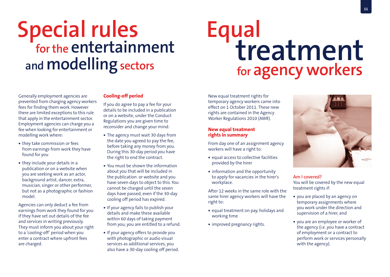### **Special rules for the entertainment and modelling sectors**

### **Equal treatment for agency workers**

Generally employment agencies are prevented from charging agency workers fees for finding them work. However there are limited exceptions to this rule that apply in the entertainment sector. Employment agencies can charge you a fee when looking for entertainment or modelling work where:

- they take commission or fees from earnings from work they have found for you
- **they include your details in a** publication or on a website when you are seeking work as an actor, background artist, dancer, extra, musician, singer or other performer, but not as a photographic or fashion model.

Agencies can only deduct a fee from earnings from work they found for you if they have set out details of the fee and services in writing previously. They must inform you about your right to a 'cooling-off' period when you enter a contract where upfront fees are charged.

#### **Cooling-off period**

If you do agree to pay a fee for your details to be included in a publication or on a website, under the Conduct Regulations you are given time to reconsider and change your mind:

- The agency must wait 30 days from the date you agreed to pay the fee, before taking any money from you. During this 30-day period you have the right to end the contract.
- You must be shown the information about you that will be included in the publication or website and you have seven days to object to this. You cannot be charged until the seven days have passed, even if the 30-day cooling off period has expired.
- If your agency fails to publish your details and make these available within 60 days of taking payment from you, you are entitled to a refund.
- **If your agency offers to provide you** with photographic or audio visual services as additional services, you also have a 30-day cooling off period.

New equal treatment rights for temporary agency workers came into effect on 1 October 2011. These new rights are contained in the Agency Worker Regulations 2010 (AWR).

#### **New equal treatment rights in summary**

From day one of an assignment agency workers will have a right to:

- equal access to collective facilities provided by the hirer
- **information and the opportunity** to apply for vacancies in the hirer's workplace.

After 12 weeks in the same role with the same hirer agency workers will have the right to:

- equal treatment on pay, holidays and working time
- **·** improved pregnancy rights.



**Am I covered?** You will be covered by the new equal treatment rights if:

- you are placed by an agency on temporary assignments where you work under the direction and supervision of a hirer, and
- you are an employee or worker of the agency (i.e. you have a contract of employment or a contract to perform work or services personally with the agency).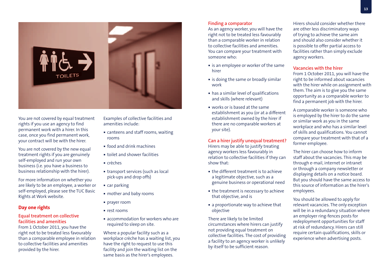

You are not covered by equal treatment rights if you use an agency to find permanent work with a hirer. In this case, once you find permanent work, your contract will be with the hirer.

You are not covered by the new equal treatment rights if you are genuinely self-employed and run your own business (i.e. you have a business to business relationship with the hirer).

For more information on whether you are likely to be an employee, a worker or self-employed, please see the TUC Basic Rights at Work website.

#### **Day one rights**

#### **Equal treatment on collective facilities and amenities**

From 1 October 2011, you have the right not to be treated less favourably than a comparable employee in relation to collective facilities and amenities provided by the hirer.

Examples of collective facilities and amenities include:

- canteens and staff rooms, waiting rooms
- food and drink machines
- toilet and shower facilities
- crèches
- transport services (such as local pick-ups and drop offs)
- car parking
- mother and baby rooms
- **prayer room**
- rest rooms
- accommodation for workers who are required to sleep on site.

Where a popular facility such as a workplace crèche has a waiting list, you have the right to request to use this facility and join the waiting list on the same basis as the hirer's employees.

#### **Finding a comparator**

As an agency worker, you will have the right not to be treated less favourably than a comparable worker in relation to collective facilities and amenities. You can compare your treatment with someone who:

- **is an employee or worker of the same** hirer
- **is doing the same or broadly similar** work
- has a similar level of qualifications and skills (where relevant)
- works or is based at the same establishment as you (or at a different establishment owned by the hirer if there are no comparable workers at your site).

**Can a hirer justify unequal treatment?** Hirers may be able to justify treating agency workers less favourably in relation to collective facilities if they can show that:

- **the different treatment is to achieve** a legitimate objective, such as a genuine business or operational need
- $\blacksquare$  the treatment is necessary to achieve that objective, and is
- a proportionate way to achieve that objective

There are likely to be limited circumstances where hirers can justify not providing equal treatment on collective facilities. The cost of providing a facility to an agency worker is unlikely by itself to be sufficient reason.

Hirers should consider whether there are other less discriminatory ways of trying to achieve the same aim and should also consider whether it is possible to offer partial access to facilities rather than simply exclude agency workers.

#### **Vacancies with the hirer**

From 1 October 2011, you will have the right to be informed about vacancies with the hirer while on assignment with them. The aim is to give you the same opportunity as a comparable worker to find a permanent job with the hirer.

A comparable worker is someone who is employed by the hirer to do the same or similar work as you in the same workplace and who has a similar level of skills and qualifications. You cannot compare your treatment with that of a former employee.

The hirer can choose how to inform staff about the vacancies. This may be through e-mail, internet or intranet or through a company newsletter or displaying details on a notice board. But you should have the same access to this source of information as the hirer's employees.

You should be allowed to apply for relevant vacancies. The only exception will be in a redundancy situation where an employer ring-fences posts for redeployment opportunities for staff at risk of redundancy. Hirers can still require certain qualifications, skills or experience when advertising posts.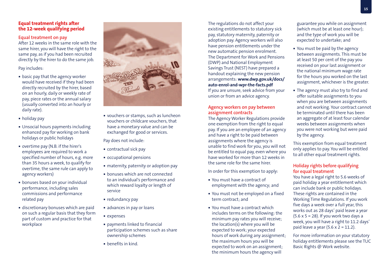#### **Equal treatment rights after the 12-week qualifying period**

#### **Equal treatment on pay**

After 12 weeks in the same role with the same hirer, you will have the right to the same pay, as if you had been recruited directly by the hirer to do the same job.

Pay includes:

- **basic pay that the agency worker** would have received if they had been directly recruited by the hirer, based on an hourly, daily or weekly rate of pay, piece rates or the annual salary (usually converted into an hourly or daily rate).
- holiday pay
- Unsocial hours payments including enhanced pay for working on bank holidays or public holidays
- overtime pay (N.B. if the hirer's employees are required to work a specified number of hours, e.g. more than 35 hours a week, to qualify for overtime, the same rule can apply to agency workers)
- bonuses based on your individual performance, including sales commissions and performance related pay
- discretionary bonuses which are paid on such a regular basis that they form part of custom and practice for that workplace



 vouchers or stamps, such as luncheon vouchers or childcare vouchers, that have a monetary value and can be exchanged for good or services.

Pay does not include:

- contractual sick pay
- occupational pensions
- maternity, paternity or adoption pay
- bonuses which are not connected to an individual's performance and which reward loyalty or length of service
- **redundancy pay**
- **a** advances in pay or loans
- expenses
- payments linked to financial participation schemes such as share ownership schemes
- benefits in kind.

The regulations do not affect your existing entitlements to statutory sick pay, statutory maternity, paternity or adoption pay. Agency workers will also have pension entitlements under the new automatic pension enrolment. The Department for Work and Pensions (DWP) and National Employment Savings Trust (NEST) have prepared a handout explaining the new pension arrangements: **www.dwp.gov.uk/docs/ auto-enrol-and-wpr-the-facts.pdf**  If you are unsure, seek advice from your union or from an advice agency.

#### **Agency workers on pay between assignment contracts**

The Agency Worker Regulations provide one exemption from the right to equal pay. If you are an employee of an agency and have a right to be paid between assignments where the agency is unable to find work for you, you will not be entitled to equal pay, even where you have worked for more than 12 weeks in the same role for the same hirer.

In order for this exemption to apply:

- You must have a contract of employment with the agency; and
- You must not be employed on a fixed term contract; and
- You must have a contract which includes terms on the following: the minimum pay rates you will receive; the location(s) where you will be expected to work; your expected hours of work during any assignment; the maximum hours you will be expected to work on an assignment; the minimum hours the agency will

guarantee you while on assignment (which must be at least one hour); and the type of work you will be expected to undertake; and

- You must be paid by the agency between assignments. This must be at least 50 per cent of the pay you received on your last assignment or the national minimum wage rate for the hours you worked on the last assignment, whichever is the greater.
- The agency must also try to find and offer suitable assignments to you when you are between assignments and not working. Your contract cannot be terminated until there has been an aggregate of at least four calendar weeks between assignments when you were not working but were paid by the agency.

This exemption from equal treatment only applies to pay. You will be entitled to all other equal treatment rights.

#### **Holiday rights before qualifying for equal treatment**

You have a legal right to 5.6 weeks of paid holiday a year entitlement which can include bank or public holidays. These rights are contained in the Working Time Regulations. If you work five days a week over a full year, this works out as 28 days' paid leave a year  $(5.6 \times 5 = 28)$ . If you work two days a week, you will have a right to 11.2 days' paid leave a year  $(5.6 \times 2 = 11.2)$ .

For more information on your statutory holiday entitlements please see the TUC Basic Rights @ Work website.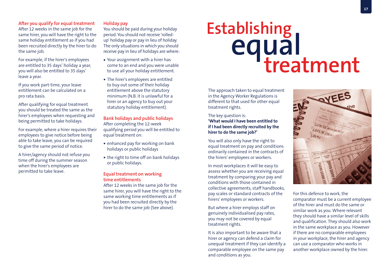#### **After you qualify for equal treatment**

After 12 weeks in the same job for the same hirer, you will have the right to the same holiday entitlement as if you had been recruited directly by the hirer to do the same job.

For example, if the hirer's employees are entitled to 35 days' holiday a year, you will also be entitled to 35 days' leave a year.

If you work part-time, your leave entitlement can be calculated on a pro rata basis.

After qualifying for equal treatment you should be treated the same as the hirer's employees when requesting and being permitted to take holidays.

For example, where a hirer requires their employees to give notice before being able to take leave, you can be required to give the same period of notice.

A hirer/agency should not refuse you time off during the summer season when the hirer's employees are permitted to take leave.

#### **Holiday pay**

You should be paid during your holiday period. You should not receive 'rolledup' holiday pay or pay in lieu of holiday. The only situations in which you should receive pay in lieu of holidays are where:

- Your assignment with a hirer has come to an end and you were unable to use all your holiday entitlement.
- The hirer's employees are entitled to buy out some of their holiday entitlement above the statutory minimum (N.B. it is unlawful for a hirer or an agency to buy out your statutory holiday entitlement).

**Bank holidays and public holidays** After completing the 12-week qualifying period you will be entitled to equal treatment on:

- enhanced pay for working on bank holidays or public holidays
- the right to time off on bank holidays or public holidays.

#### **Equal treatment on working time entitlements**

After 12 weeks in the same job for the same hirer, you will have the right to the same working time entitlements as if you had been recruited directly by the hirer to do the same job (See above).

# Establishing<br> **equal**<br> **treatment**

The approach taken to equal treatment in the Agency Worker Regulations is different to that used for other equal treatment rights.

#### The key question is:

#### **'What would I have been entitled to if I had been directly recruited by the hirer to do the same job?'**

You will also only have the right to equal treatment on pay and conditions ordinarily contained in the contracts of the hirers' employees or workers.

In most workplaces it will be easy to assess whether you are receiving equal treatment by comparing your pay and conditions with those contained in collective agreements, staff handbooks, pay scales or standard contracts of the hirers' employees or workers.

But where a hirer employs staff on genuinely individualised pay rates, you may not be covered by equal treatment rights.

It is also important to be aware that a hirer or agency can defend a claim for unequal treatment if they can identify a comparable employee on the same pay and conditions as you.



For this defence to work, the comparator must be a current employee of the hirer and must do the same or similar work as you. Where relevant they should have a similar level of skills and qualification. They should also work in the same workplace as you. However if there are no comparable employees in your workplace, the hirer and agency can use a comparator who works in another workplace owned by the hirer.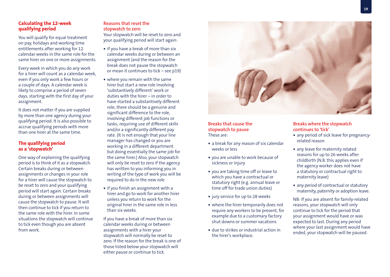#### **Calculating the 12-week qualifying period**

You will qualify for equal treatment on pay, holidays and working time entitlements after working for 12 calendar weeks in the same role for the same hirer on one or more assignments.

Every week in which you do any work for a hirer will count as a calendar week, even if you only work a few hours or a couple of days. A calendar week is likely to comprise a period of seven days, starting with the first day of your assignment.

It does not matter if you are supplied by more than one agency during your qualifying period. It is also possible to accrue qualifying periods with more than one hirer at the same time.

#### **The qualifying period as a 'stopwatch'**

One way of explaining the qualifying period is to think of it as a stopwatch. Certain breaks during or between assignments or changes in your role for a hirer will cause the stopwatch to be reset to zero and your qualifying period will start again. Certain breaks during or between assignments will cause the stopwatch to pause. It will then continue to tick if you return to the same role with the hirer. In some situations the stopwatch will continue to tick even though you are absent from work.

#### **Reasons that reset the stopwatch to zero**

Your stopwatch will be reset to zero and your qualifying period will start again:

- **i** if you have a break of more than six calendar weeks during or between an assignment (and the reason for the break does not pause the stopwatch or mean it continues to tick – see p19)
- where you remain with the same hirer but start a new role involving 'substantively different' work or duties with the hirer – in order to have started a substantively different role, there should be a genuine and significant difference to the role, involving different job functions or tasks; requiring use of different skills and/or a significantly different pay rate. (It is not enough that your line manager has changed or you are working in a different department but doing essentially the same job for the same hirer.) Also, your stopwatch will only be reset to zero if the agency has written to you informing you in writing of the type of work you will be required to do in the new role
- **i** if you finish an assignment with a hirer and go to work for another hirer unless you return to work for the original hirer in the same role in less than six weeks.

If you have a break of more than six calendar weeks during or between assignments with a hirer your stopwatch will normally be reset to zero. If the reason for the break is one of those listed below your stopwatch will either pause or continue to tick.



#### **Breaks that cause the stopwatch to pause** These are:

- a break for any reason of six calendar weeks or less
- you are unable to work because of sickness or injury
- you are taking time off or leave to which you have a contractual or statutory right (e.g. annual leave or time off for trade union duties)
- jury service for up to 28 weeks
- where the hirer temporarily does not require any workers to be present, for example due to a customary factory shut downs or summer vacations
- due to strikes or industrial action in the hirer's workplace.

#### **Breaks where the stopwatch continues to 'tick'**

- any period of sick leave for pregnancyrelated reason
- any leave for maternity related reasons for up to 26 weeks after childbirth (N.B. this applies even if the agency worker does not have a statutory or contractual right to maternity leave)
- any period of contractual or statutory maternity, paternity or adoption leave.

NB: If you are absent for family-related reasons, your stopwatch will only continue to tick for the period that your assignment would have or was expected to last. During any period where your last assignment would have ended, your stopwatch will be paused.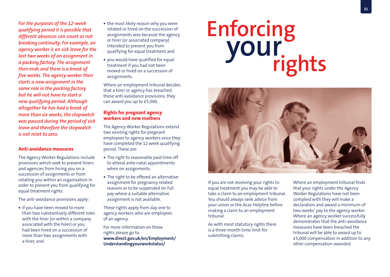*For the purposes of the 12-week qualifying period it is possible that different absences can count as not breaking continuity. For example, an agency worker is on sick leave for the last two weeks of an assignment in a packing factory. The assignment then ends and there is a break of five weeks. The agency worker then starts a new assignment in the same role in the packing factory but he will not have to start a new qualifying period. Although altogether he has had a break of more than six weeks, the stopwatch was paused during the period of sick leave and therefore the stopwatch is not reset to zero.*

#### **Anti-avoidance measures**

The Agency Worker Regulations include provisions which seek to prevent hirers and agencies from hiring you on a succession of assignments or from rotating you within an organisation in order to prevent you from qualifying for equal treatment rights.

The anti-avoidance provisions apply:

**i** if you have been moved to more than two substantively different roles with the hirer (or within a company associated with the hirer) or you had been hired on a succession of more than two assignments with a hirer, and

- the most likely reason why you were rotated or hired on the succession of assignments was because the agency or hirer (or associated company) intended to prevent you from qualifying for equal treatment and
- you would have qualified for equal treatment if you had not been moved or hired on a succession of assignments.

Where an employment tribunal decides that a hirer or agency has breached these anti-avoidance provisions, they can award you up to £5,000.

#### **Rights for pregnant agency workers and new mothers**

The Agency Worker Regulations extend two existing rights for pregnant employees to agency workers once they have completed the 12 week qualifying period. These are:

- The right to reasonable paid time off to attend ante-natal appointments when on assignments.
- The right to be offered an alternative assignment for pregnancy related reasons or to be suspended on full pay where a suitable alternative assignment is not available.

These rights apply from day one to agency workers who are employees of an agency.

For more information on these rights please go to: **www.direct.gov.uk/en/Employment/ Understandingyourworkstatus/**

# Enforcing<br>**your**<br>rights



If you are not receiving your rights to equal treatment you may be able to take a claim to an employment tribunal. You should always seek advice from your union or the Acas Helpline before making a claim to an employment tribunal.

As with most statutory rights there is a three-month time limit for submitting claims.

Where an employment tribunal finds that your rights under the Agency Worker Regulations have not been complied with they will make a declaration and award a minimum of two weeks' pay to the agency worker. Where an agency worker successfully demonstrates that the anti-avoidance measures have been breached the tribunal will be able to award up to £5,000 compensation in addition to any other compensation awarded.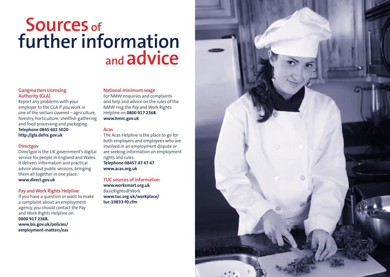### **Sources of further information and advice**

#### **Gangmasters Licensing Authority (GLA)**

Report any problems with your employer to the GLA if you work in one of the sectors covered – agriculture, forestry, horticulture, shellfish gathering and food processing and packaging. **Telephone 0845 602 5020 http://gla.defra.gov.uk**

#### **Directgov**

Directgov is the UK government's digital service for people in England and Wales. It delivers information and practical advice about public services, bringing them all together in one place. **www.direct.gov.uk**

#### **Pay and Work Rights Helpline**

If you have a question or want to make a complaint about an employment agency, you should contact the Pay and Work Rights Helpline on **0800 917 2368. www.bis.gov.uk/policies/ employment-matters/eas**

#### **National minimum wage**

For NMW enquiries and complaints and help and advice on the rules of the NMW ring the Pay and Work Rights Helpline on **0800 917 2368. www.hmrc.gov.uk**

#### **Acas**

The Acas Helpline is the place to go for both employers and employees who are involved in an employment dispute or are seeking information on employment rights and rules. **Telephone 08457 47 47 47 www.acas.org.uk**

**TUC sources of information www.worksmart.org.uk** BasicRights@Work **www.tuc.org.uk/workplace/ tuc-19833-f0.cfm**